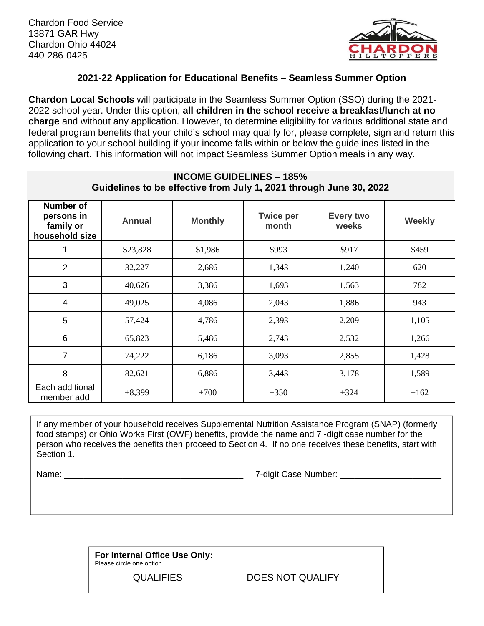

## **2021-22 Application for Educational Benefits – Seamless Summer Option**

**Chardon Local Schools** will participate in the Seamless Summer Option (SSO) during the 2021- 2022 school year. Under this option, **all children in the school receive a breakfast/lunch at no charge** and without any application. However, to determine eligibility for various additional state and federal program benefits that your child's school may qualify for, please complete, sign and return this application to your school building if your income falls within or below the guidelines listed in the following chart. This information will not impact Seamless Summer Option meals in any way.

| Guidelines to be effective from July 1, 2021 through June 30, 2022 |               |                |                           |                    |               |  |
|--------------------------------------------------------------------|---------------|----------------|---------------------------|--------------------|---------------|--|
| <b>Number of</b><br>persons in<br>family or<br>household size      | <b>Annual</b> | <b>Monthly</b> | <b>Twice per</b><br>month | Every two<br>weeks | <b>Weekly</b> |  |
| 1                                                                  | \$23,828      | \$1,986        | \$993                     | \$917              | \$459         |  |
| $\overline{2}$                                                     | 32,227        | 2,686          | 1,343                     | 1,240              | 620           |  |
| 3                                                                  | 40,626        | 3,386          | 1,693                     | 1,563              | 782           |  |
| $\overline{4}$                                                     | 49,025        | 4,086          | 2,043                     | 1,886              | 943           |  |
| 5                                                                  | 57,424        | 4,786          | 2,393                     | 2,209              | 1,105         |  |
| 6                                                                  | 65,823        | 5,486          | 2,743                     | 2,532              | 1,266         |  |
| 7                                                                  | 74,222        | 6,186          | 3,093                     | 2,855              | 1,428         |  |
| 8                                                                  | 82,621        | 6,886          | 3,443                     | 3,178              | 1,589         |  |
| Each additional<br>member add                                      | $+8,399$      | $+700$         | $+350$                    | $+324$             | $+162$        |  |

## **INCOME GUIDELINES – 185%**

If any member of your household receives Supplemental Nutrition Assistance Program (SNAP) (formerly food stamps) or Ohio Works First (OWF) benefits, provide the name and 7 -digit case number for the person who receives the benefits then proceed to Section 4. If no one receives these benefits, start with Section 1.

Name: \_\_\_\_\_\_\_\_\_\_\_\_\_\_\_\_\_\_\_\_\_\_\_\_\_\_\_\_\_\_\_\_\_\_\_\_\_ 7-digit Case Number: \_\_\_\_\_\_\_\_\_\_\_\_\_\_\_\_\_\_\_\_\_

**For Internal Office Use Only:**  Please circle one option.

QUALIFIES DOES NOT QUALIFY